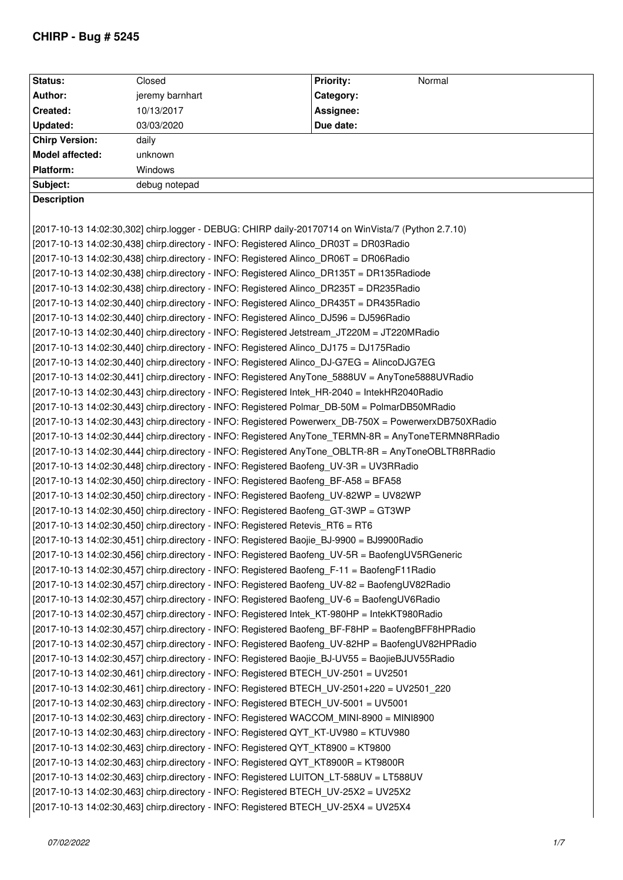## **CHIRP - Bug # 5245**

| <b>Status:</b>        | Closed                                                                                             | <b>Priority:</b><br>Normal                                                                            |
|-----------------------|----------------------------------------------------------------------------------------------------|-------------------------------------------------------------------------------------------------------|
| Author:               | jeremy barnhart                                                                                    | Category:                                                                                             |
| Created:              | 10/13/2017                                                                                         | Assignee:                                                                                             |
| Updated:              | 03/03/2020                                                                                         | Due date:                                                                                             |
| <b>Chirp Version:</b> | daily                                                                                              |                                                                                                       |
| Model affected:       | unknown                                                                                            |                                                                                                       |
| Platform:             | Windows                                                                                            |                                                                                                       |
| Subject:              | debug notepad                                                                                      |                                                                                                       |
| <b>Description</b>    |                                                                                                    |                                                                                                       |
|                       |                                                                                                    |                                                                                                       |
|                       | [2017-10-13 14:02:30,302] chirp.logger - DEBUG: CHIRP daily-20170714 on WinVista/7 (Python 2.7.10) |                                                                                                       |
|                       | [2017-10-13 14:02:30,438] chirp.directory - INFO: Registered Alinco_DR03T = DR03Radio              |                                                                                                       |
|                       | [2017-10-13 14:02:30,438] chirp.directory - INFO: Registered Alinco DR06T = DR06Radio              |                                                                                                       |
|                       | [2017-10-13 14:02:30,438] chirp.directory - INFO: Registered Alinco_DR135T = DR135Radiode          |                                                                                                       |
|                       | [2017-10-13 14:02:30,438] chirp.directory - INFO: Registered Alinco DR235T = DR235Radio            |                                                                                                       |
|                       | [2017-10-13 14:02:30,440] chirp.directory - INFO: Registered Alinco_DR435T = DR435Radio            |                                                                                                       |
|                       | [2017-10-13 14:02:30,440] chirp.directory - INFO: Registered Alinco DJ596 = DJ596Radio             |                                                                                                       |
|                       | [2017-10-13 14:02:30,440] chirp.directory - INFO: Registered Jetstream_JT220M = JT220MRadio        |                                                                                                       |
|                       | [2017-10-13 14:02:30,440] chirp.directory - INFO: Registered Alinco_DJ175 = DJ175Radio             |                                                                                                       |
|                       | [2017-10-13 14:02:30,440] chirp.directory - INFO: Registered Alinco DJ-G7EG = AlincoDJG7EG         |                                                                                                       |
|                       | [2017-10-13 14:02:30,441] chirp.directory - INFO: Registered AnyTone_5888UV = AnyTone5888UVRadio   |                                                                                                       |
|                       | [2017-10-13 14:02:30,443] chirp.directory - INFO: Registered Intek_HR-2040 = IntekHR2040Radio      |                                                                                                       |
|                       | [2017-10-13 14:02:30,443] chirp.directory - INFO: Registered Polmar_DB-50M = PolmarDB50MRadio      |                                                                                                       |
|                       |                                                                                                    | [2017-10-13 14:02:30,443] chirp.directory - INFO: Registered Powerwerx DB-750X = PowerwerxDB750XRadio |
|                       |                                                                                                    | [2017-10-13 14:02:30,444] chirp.directory - INFO: Registered AnyTone_TERMN-8R = AnyToneTERMN8RRadio   |
|                       |                                                                                                    | [2017-10-13 14:02:30,444] chirp.directory - INFO: Registered AnyTone_OBLTR-8R = AnyToneOBLTR8RRadio   |
|                       | [2017-10-13 14:02:30,448] chirp.directory - INFO: Registered Baofeng UV-3R = UV3RRadio             |                                                                                                       |
|                       | [2017-10-13 14:02:30,450] chirp.directory - INFO: Registered Baofeng_BF-A58 = BFA58                |                                                                                                       |
|                       | [2017-10-13 14:02:30,450] chirp.directory - INFO: Registered Baofeng_UV-82WP = UV82WP              |                                                                                                       |
|                       | [2017-10-13 14:02:30,450] chirp.directory - INFO: Registered Baofeng_GT-3WP = GT3WP                |                                                                                                       |
|                       | [2017-10-13 14:02:30,450] chirp.directory - INFO: Registered Retevis RT6 = RT6                     |                                                                                                       |
|                       | [2017-10-13 14:02:30,451] chirp.directory - INFO: Registered Baojie_BJ-9900 = BJ9900Radio          |                                                                                                       |
|                       | [2017-10-13 14:02:30,456] chirp.directory - INFO: Registered Baofeng_UV-5R = BaofengUV5RGeneric    |                                                                                                       |
|                       | [2017-10-13 14:02:30,457] chirp.directory - INFO: Registered Baofeng_F-11 = BaofengF11Radio        |                                                                                                       |
|                       | [2017-10-13 14:02:30,457] chirp.directory - INFO: Registered Baofeng UV-82 = BaofengUV82Radio      |                                                                                                       |
|                       | [2017-10-13 14:02:30,457] chirp.directory - INFO: Registered Baofeng UV-6 = BaofengUV6Radio        |                                                                                                       |
|                       | [2017-10-13 14:02:30,457] chirp.directory - INFO: Registered Intek_KT-980HP = IntekKT980Radio      |                                                                                                       |
|                       | [2017-10-13 14:02:30,457] chirp.directory - INFO: Registered Baofeng BF-F8HP = BaofengBFF8HPRadio  |                                                                                                       |
|                       | [2017-10-13 14:02:30,457] chirp.directory - INFO: Registered Baofeng_UV-82HP = BaofengUV82HPRadio  |                                                                                                       |
|                       | [2017-10-13 14:02:30,457] chirp.directory - INFO: Registered Baojie_BJ-UV55 = BaojieBJUV55Radio    |                                                                                                       |
|                       | [2017-10-13 14:02:30,461] chirp.directory - INFO: Registered BTECH UV-2501 = UV2501                |                                                                                                       |
|                       | [2017-10-13 14:02:30,461] chirp.directory - INFO: Registered BTECH_UV-2501+220 = UV2501_220        |                                                                                                       |
|                       | [2017-10-13 14:02:30,463] chirp.directory - INFO: Registered BTECH_UV-5001 = UV5001                |                                                                                                       |
|                       | [2017-10-13 14:02:30,463] chirp.directory - INFO: Registered WACCOM_MINI-8900 = MINI8900           |                                                                                                       |
|                       | [2017-10-13 14:02:30,463] chirp.directory - INFO: Registered QYT_KT-UV980 = KTUV980                |                                                                                                       |
|                       | [2017-10-13 14:02:30,463] chirp.directory - INFO: Registered QYT KT8900 = KT9800                   |                                                                                                       |
|                       | [2017-10-13 14:02:30,463] chirp.directory - INFO: Registered QYT_KT8900R = KT9800R                 |                                                                                                       |
|                       | [2017-10-13 14:02:30,463] chirp.directory - INFO: Registered LUITON_LT-588UV = LT588UV             |                                                                                                       |
|                       | [2017-10-13 14:02:30,463] chirp.directory - INFO: Registered BTECH UV-25X2 = UV25X2                |                                                                                                       |
|                       |                                                                                                    |                                                                                                       |
|                       | [2017-10-13 14:02:30,463] chirp.directory - INFO: Registered BTECH_UV-25X4 = UV25X4                |                                                                                                       |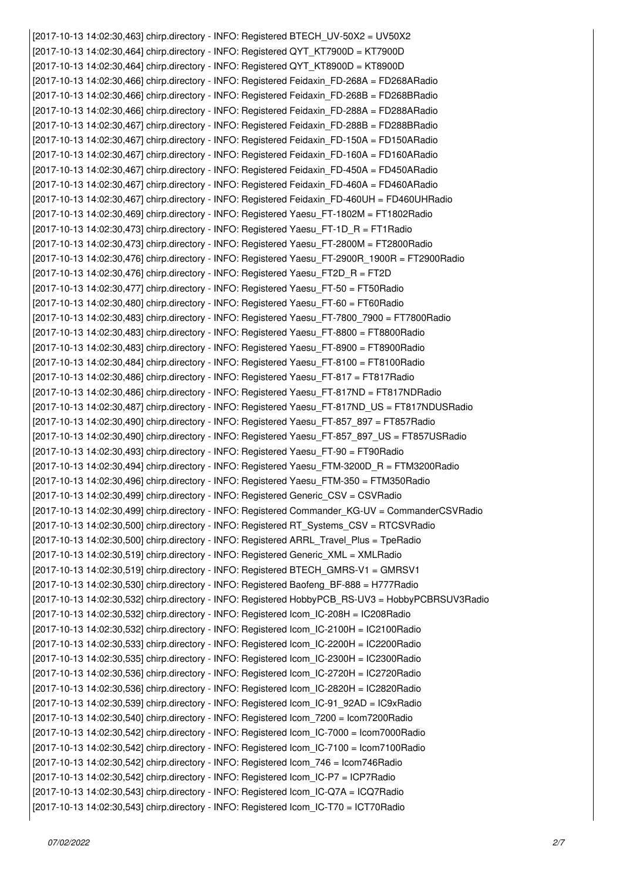*[2017-10-13 14:02:30,463] chirp.directory - INFO: Registered BTECH\_UV-50X2 = UV50X2 [2017-10-13 14:02:30,464] chirp.directory - INFO: Registered QYT\_KT7900D = KT7900D [2017-10-13 14:02:30,464] chirp.directory - INFO: Registered QYT\_KT8900D = KT8900D [2017-10-13 14:02:30,466] chirp.directory - INFO: Registered Feidaxin\_FD-268A = FD268ARadio [2017-10-13 14:02:30,466] chirp.directory - INFO: Registered Feidaxin\_FD-268B = FD268BRadio [2017-10-13 14:02:30,466] chirp.directory - INFO: Registered Feidaxin\_FD-288A = FD288ARadio [2017-10-13 14:02:30,467] chirp.directory - INFO: Registered Feidaxin\_FD-288B = FD288BRadio [2017-10-13 14:02:30,467] chirp.directory - INFO: Registered Feidaxin\_FD-150A = FD150ARadio [2017-10-13 14:02:30,467] chirp.directory - INFO: Registered Feidaxin\_FD-160A = FD160ARadio [2017-10-13 14:02:30,467] chirp.directory - INFO: Registered Feidaxin\_FD-450A = FD450ARadio [2017-10-13 14:02:30,467] chirp.directory - INFO: Registered Feidaxin\_FD-460A = FD460ARadio [2017-10-13 14:02:30,467] chirp.directory - INFO: Registered Feidaxin\_FD-460UH = FD460UHRadio [2017-10-13 14:02:30,469] chirp.directory - INFO: Registered Yaesu\_FT-1802M = FT1802Radio [2017-10-13 14:02:30,473] chirp.directory - INFO: Registered Yaesu\_FT-1D\_R = FT1Radio [2017-10-13 14:02:30,473] chirp.directory - INFO: Registered Yaesu\_FT-2800M = FT2800Radio [2017-10-13 14:02:30,476] chirp.directory - INFO: Registered Yaesu\_FT-2900R\_1900R = FT2900Radio [2017-10-13 14:02:30,476] chirp.directory - INFO: Registered Yaesu\_FT2D\_R = FT2D [2017-10-13 14:02:30,477] chirp.directory - INFO: Registered Yaesu\_FT-50 = FT50Radio [2017-10-13 14:02:30,480] chirp.directory - INFO: Registered Yaesu\_FT-60 = FT60Radio [2017-10-13 14:02:30,483] chirp.directory - INFO: Registered Yaesu\_FT-7800\_7900 = FT7800Radio [2017-10-13 14:02:30,483] chirp.directory - INFO: Registered Yaesu\_FT-8800 = FT8800Radio [2017-10-13 14:02:30,483] chirp.directory - INFO: Registered Yaesu\_FT-8900 = FT8900Radio [2017-10-13 14:02:30,484] chirp.directory - INFO: Registered Yaesu\_FT-8100 = FT8100Radio [2017-10-13 14:02:30,486] chirp.directory - INFO: Registered Yaesu\_FT-817 = FT817Radio [2017-10-13 14:02:30,486] chirp.directory - INFO: Registered Yaesu\_FT-817ND = FT817NDRadio [2017-10-13 14:02:30,487] chirp.directory - INFO: Registered Yaesu\_FT-817ND\_US = FT817NDUSRadio [2017-10-13 14:02:30,490] chirp.directory - INFO: Registered Yaesu\_FT-857\_897 = FT857Radio [2017-10-13 14:02:30,490] chirp.directory - INFO: Registered Yaesu\_FT-857\_897\_US = FT857USRadio [2017-10-13 14:02:30,493] chirp.directory - INFO: Registered Yaesu\_FT-90 = FT90Radio [2017-10-13 14:02:30,494] chirp.directory - INFO: Registered Yaesu\_FTM-3200D\_R = FTM3200Radio [2017-10-13 14:02:30,496] chirp.directory - INFO: Registered Yaesu\_FTM-350 = FTM350Radio [2017-10-13 14:02:30,499] chirp.directory - INFO: Registered Generic\_CSV = CSVRadio [2017-10-13 14:02:30,499] chirp.directory - INFO: Registered Commander\_KG-UV = CommanderCSVRadio [2017-10-13 14:02:30,500] chirp.directory - INFO: Registered RT\_Systems\_CSV = RTCSVRadio [2017-10-13 14:02:30,500] chirp.directory - INFO: Registered ARRL\_Travel\_Plus = TpeRadio [2017-10-13 14:02:30,519] chirp.directory - INFO: Registered Generic\_XML = XMLRadio [2017-10-13 14:02:30,519] chirp.directory - INFO: Registered BTECH\_GMRS-V1 = GMRSV1 [2017-10-13 14:02:30,530] chirp.directory - INFO: Registered Baofeng\_BF-888 = H777Radio [2017-10-13 14:02:30,532] chirp.directory - INFO: Registered HobbyPCB\_RS-UV3 = HobbyPCBRSUV3Radio [2017-10-13 14:02:30,532] chirp.directory - INFO: Registered Icom\_IC-208H = IC208Radio [2017-10-13 14:02:30,532] chirp.directory - INFO: Registered Icom\_IC-2100H = IC2100Radio [2017-10-13 14:02:30,533] chirp.directory - INFO: Registered Icom\_IC-2200H = IC2200Radio [2017-10-13 14:02:30,535] chirp.directory - INFO: Registered Icom\_IC-2300H = IC2300Radio [2017-10-13 14:02:30,536] chirp.directory - INFO: Registered Icom\_IC-2720H = IC2720Radio [2017-10-13 14:02:30,536] chirp.directory - INFO: Registered Icom\_IC-2820H = IC2820Radio [2017-10-13 14:02:30,539] chirp.directory - INFO: Registered Icom\_IC-91\_92AD = IC9xRadio [2017-10-13 14:02:30,540] chirp.directory - INFO: Registered Icom\_7200 = Icom7200Radio [2017-10-13 14:02:30,542] chirp.directory - INFO: Registered Icom\_IC-7000 = Icom7000Radio [2017-10-13 14:02:30,542] chirp.directory - INFO: Registered Icom\_IC-7100 = Icom7100Radio [2017-10-13 14:02:30,542] chirp.directory - INFO: Registered Icom\_746 = Icom746Radio [2017-10-13 14:02:30,542] chirp.directory - INFO: Registered Icom\_IC-P7 = ICP7Radio [2017-10-13 14:02:30,543] chirp.directory - INFO: Registered Icom\_IC-Q7A = ICQ7Radio [2017-10-13 14:02:30,543] chirp.directory - INFO: Registered Icom\_IC-T70 = ICT70Radio*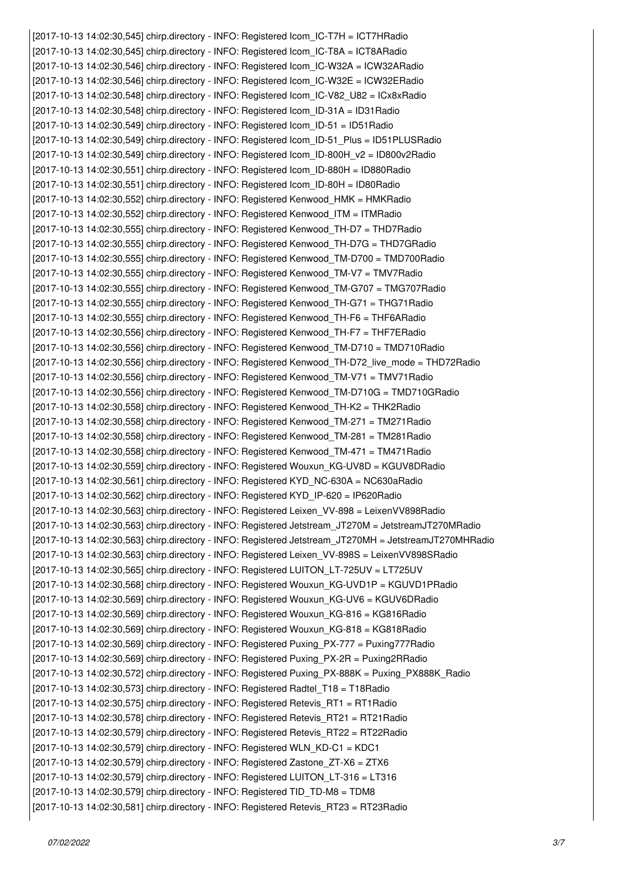*[2017-10-13 14:02:30,545] chirp.directory - INFO: Registered Icom\_IC-T7H = ICT7HRadio [2017-10-13 14:02:30,545] chirp.directory - INFO: Registered Icom\_IC-T8A = ICT8ARadio [2017-10-13 14:02:30,546] chirp.directory - INFO: Registered Icom\_IC-W32A = ICW32ARadio [2017-10-13 14:02:30,546] chirp.directory - INFO: Registered Icom\_IC-W32E = ICW32ERadio [2017-10-13 14:02:30,548] chirp.directory - INFO: Registered Icom\_IC-V82\_U82 = ICx8xRadio [2017-10-13 14:02:30,548] chirp.directory - INFO: Registered Icom\_ID-31A = ID31Radio [2017-10-13 14:02:30,549] chirp.directory - INFO: Registered Icom\_ID-51 = ID51Radio [2017-10-13 14:02:30,549] chirp.directory - INFO: Registered Icom\_ID-51\_Plus = ID51PLUSRadio [2017-10-13 14:02:30,549] chirp.directory - INFO: Registered Icom\_ID-800H\_v2 = ID800v2Radio [2017-10-13 14:02:30,551] chirp.directory - INFO: Registered Icom\_ID-880H = ID880Radio [2017-10-13 14:02:30,551] chirp.directory - INFO: Registered Icom\_ID-80H = ID80Radio [2017-10-13 14:02:30,552] chirp.directory - INFO: Registered Kenwood\_HMK = HMKRadio [2017-10-13 14:02:30,552] chirp.directory - INFO: Registered Kenwood\_ITM = ITMRadio [2017-10-13 14:02:30,555] chirp.directory - INFO: Registered Kenwood\_TH-D7 = THD7Radio [2017-10-13 14:02:30,555] chirp.directory - INFO: Registered Kenwood\_TH-D7G = THD7GRadio [2017-10-13 14:02:30,555] chirp.directory - INFO: Registered Kenwood\_TM-D700 = TMD700Radio [2017-10-13 14:02:30,555] chirp.directory - INFO: Registered Kenwood\_TM-V7 = TMV7Radio [2017-10-13 14:02:30,555] chirp.directory - INFO: Registered Kenwood\_TM-G707 = TMG707Radio [2017-10-13 14:02:30,555] chirp.directory - INFO: Registered Kenwood\_TH-G71 = THG71Radio [2017-10-13 14:02:30,555] chirp.directory - INFO: Registered Kenwood\_TH-F6 = THF6ARadio [2017-10-13 14:02:30,556] chirp.directory - INFO: Registered Kenwood\_TH-F7 = THF7ERadio [2017-10-13 14:02:30,556] chirp.directory - INFO: Registered Kenwood\_TM-D710 = TMD710Radio [2017-10-13 14:02:30,556] chirp.directory - INFO: Registered Kenwood\_TH-D72\_live\_mode = THD72Radio [2017-10-13 14:02:30,556] chirp.directory - INFO: Registered Kenwood\_TM-V71 = TMV71Radio [2017-10-13 14:02:30,556] chirp.directory - INFO: Registered Kenwood\_TM-D710G = TMD710GRadio [2017-10-13 14:02:30,558] chirp.directory - INFO: Registered Kenwood\_TH-K2 = THK2Radio [2017-10-13 14:02:30,558] chirp.directory - INFO: Registered Kenwood\_TM-271 = TM271Radio [2017-10-13 14:02:30,558] chirp.directory - INFO: Registered Kenwood\_TM-281 = TM281Radio [2017-10-13 14:02:30,558] chirp.directory - INFO: Registered Kenwood\_TM-471 = TM471Radio [2017-10-13 14:02:30,559] chirp.directory - INFO: Registered Wouxun\_KG-UV8D = KGUV8DRadio [2017-10-13 14:02:30,561] chirp.directory - INFO: Registered KYD\_NC-630A = NC630aRadio [2017-10-13 14:02:30,562] chirp.directory - INFO: Registered KYD\_IP-620 = IP620Radio [2017-10-13 14:02:30,563] chirp.directory - INFO: Registered Leixen\_VV-898 = LeixenVV898Radio [2017-10-13 14:02:30,563] chirp.directory - INFO: Registered Jetstream\_JT270M = JetstreamJT270MRadio [2017-10-13 14:02:30,563] chirp.directory - INFO: Registered Jetstream\_JT270MH = JetstreamJT270MHRadio [2017-10-13 14:02:30,563] chirp.directory - INFO: Registered Leixen\_VV-898S = LeixenVV898SRadio [2017-10-13 14:02:30,565] chirp.directory - INFO: Registered LUITON\_LT-725UV = LT725UV [2017-10-13 14:02:30,568] chirp.directory - INFO: Registered Wouxun\_KG-UVD1P = KGUVD1PRadio [2017-10-13 14:02:30,569] chirp.directory - INFO: Registered Wouxun\_KG-UV6 = KGUV6DRadio [2017-10-13 14:02:30,569] chirp.directory - INFO: Registered Wouxun\_KG-816 = KG816Radio [2017-10-13 14:02:30,569] chirp.directory - INFO: Registered Wouxun\_KG-818 = KG818Radio [2017-10-13 14:02:30,569] chirp.directory - INFO: Registered Puxing\_PX-777 = Puxing777Radio [2017-10-13 14:02:30,569] chirp.directory - INFO: Registered Puxing\_PX-2R = Puxing2RRadio [2017-10-13 14:02:30,572] chirp.directory - INFO: Registered Puxing\_PX-888K = Puxing\_PX888K\_Radio [2017-10-13 14:02:30,573] chirp.directory - INFO: Registered Radtel\_T18 = T18Radio [2017-10-13 14:02:30,575] chirp.directory - INFO: Registered Retevis\_RT1 = RT1Radio [2017-10-13 14:02:30,578] chirp.directory - INFO: Registered Retevis\_RT21 = RT21Radio [2017-10-13 14:02:30,579] chirp.directory - INFO: Registered Retevis\_RT22 = RT22Radio [2017-10-13 14:02:30,579] chirp.directory - INFO: Registered WLN\_KD-C1 = KDC1 [2017-10-13 14:02:30,579] chirp.directory - INFO: Registered Zastone\_ZT-X6 = ZTX6 [2017-10-13 14:02:30,579] chirp.directory - INFO: Registered LUITON\_LT-316 = LT316 [2017-10-13 14:02:30,579] chirp.directory - INFO: Registered TID\_TD-M8 = TDM8 [2017-10-13 14:02:30,581] chirp.directory - INFO: Registered Retevis\_RT23 = RT23Radio*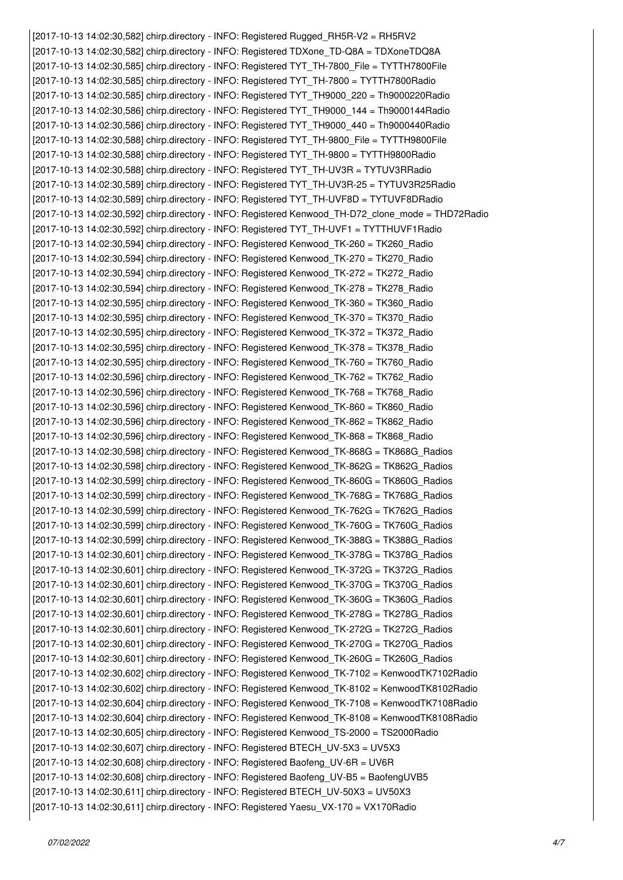*[2017-10-13 14:02:30,582] chirp.directory - INFO: Registered Rugged\_RH5R-V2 = RH5RV2 [2017-10-13 14:02:30,582] chirp.directory - INFO: Registered TDXone\_TD-Q8A = TDXoneTDQ8A [2017-10-13 14:02:30,585] chirp.directory - INFO: Registered TYT\_TH-7800\_File = TYTTH7800File [2017-10-13 14:02:30,585] chirp.directory - INFO: Registered TYT\_TH-7800 = TYTTH7800Radio [2017-10-13 14:02:30,585] chirp.directory - INFO: Registered TYT\_TH9000\_220 = Th9000220Radio [2017-10-13 14:02:30,586] chirp.directory - INFO: Registered TYT\_TH9000\_144 = Th9000144Radio [2017-10-13 14:02:30,586] chirp.directory - INFO: Registered TYT\_TH9000\_440 = Th9000440Radio [2017-10-13 14:02:30,588] chirp.directory - INFO: Registered TYT\_TH-9800\_File = TYTTH9800File [2017-10-13 14:02:30,588] chirp.directory - INFO: Registered TYT\_TH-9800 = TYTTH9800Radio [2017-10-13 14:02:30,588] chirp.directory - INFO: Registered TYT\_TH-UV3R = TYTUV3RRadio [2017-10-13 14:02:30,589] chirp.directory - INFO: Registered TYT\_TH-UV3R-25 = TYTUV3R25Radio [2017-10-13 14:02:30,589] chirp.directory - INFO: Registered TYT\_TH-UVF8D = TYTUVF8DRadio [2017-10-13 14:02:30,592] chirp.directory - INFO: Registered Kenwood\_TH-D72\_clone\_mode = THD72Radio [2017-10-13 14:02:30,592] chirp.directory - INFO: Registered TYT\_TH-UVF1 = TYTTHUVF1Radio [2017-10-13 14:02:30,594] chirp.directory - INFO: Registered Kenwood\_TK-260 = TK260\_Radio [2017-10-13 14:02:30,594] chirp.directory - INFO: Registered Kenwood\_TK-270 = TK270\_Radio [2017-10-13 14:02:30,594] chirp.directory - INFO: Registered Kenwood\_TK-272 = TK272\_Radio [2017-10-13 14:02:30,594] chirp.directory - INFO: Registered Kenwood\_TK-278 = TK278\_Radio [2017-10-13 14:02:30,595] chirp.directory - INFO: Registered Kenwood\_TK-360 = TK360\_Radio [2017-10-13 14:02:30,595] chirp.directory - INFO: Registered Kenwood\_TK-370 = TK370\_Radio [2017-10-13 14:02:30,595] chirp.directory - INFO: Registered Kenwood\_TK-372 = TK372\_Radio [2017-10-13 14:02:30,595] chirp.directory - INFO: Registered Kenwood\_TK-378 = TK378\_Radio [2017-10-13 14:02:30,595] chirp.directory - INFO: Registered Kenwood\_TK-760 = TK760\_Radio [2017-10-13 14:02:30,596] chirp.directory - INFO: Registered Kenwood\_TK-762 = TK762\_Radio [2017-10-13 14:02:30,596] chirp.directory - INFO: Registered Kenwood\_TK-768 = TK768\_Radio [2017-10-13 14:02:30,596] chirp.directory - INFO: Registered Kenwood\_TK-860 = TK860\_Radio [2017-10-13 14:02:30,596] chirp.directory - INFO: Registered Kenwood\_TK-862 = TK862\_Radio [2017-10-13 14:02:30,596] chirp.directory - INFO: Registered Kenwood\_TK-868 = TK868\_Radio [2017-10-13 14:02:30,598] chirp.directory - INFO: Registered Kenwood\_TK-868G = TK868G\_Radios [2017-10-13 14:02:30,598] chirp.directory - INFO: Registered Kenwood\_TK-862G = TK862G\_Radios [2017-10-13 14:02:30,599] chirp.directory - INFO: Registered Kenwood\_TK-860G = TK860G\_Radios [2017-10-13 14:02:30,599] chirp.directory - INFO: Registered Kenwood\_TK-768G = TK768G\_Radios [2017-10-13 14:02:30,599] chirp.directory - INFO: Registered Kenwood\_TK-762G = TK762G\_Radios [2017-10-13 14:02:30,599] chirp.directory - INFO: Registered Kenwood\_TK-760G = TK760G\_Radios [2017-10-13 14:02:30,599] chirp.directory - INFO: Registered Kenwood\_TK-388G = TK388G\_Radios [2017-10-13 14:02:30,601] chirp.directory - INFO: Registered Kenwood\_TK-378G = TK378G\_Radios [2017-10-13 14:02:30,601] chirp.directory - INFO: Registered Kenwood\_TK-372G = TK372G\_Radios [2017-10-13 14:02:30,601] chirp.directory - INFO: Registered Kenwood\_TK-370G = TK370G\_Radios [2017-10-13 14:02:30,601] chirp.directory - INFO: Registered Kenwood\_TK-360G = TK360G\_Radios [2017-10-13 14:02:30,601] chirp.directory - INFO: Registered Kenwood\_TK-278G = TK278G\_Radios [2017-10-13 14:02:30,601] chirp.directory - INFO: Registered Kenwood\_TK-272G = TK272G\_Radios [2017-10-13 14:02:30,601] chirp.directory - INFO: Registered Kenwood\_TK-270G = TK270G\_Radios [2017-10-13 14:02:30,601] chirp.directory - INFO: Registered Kenwood\_TK-260G = TK260G\_Radios [2017-10-13 14:02:30,602] chirp.directory - INFO: Registered Kenwood\_TK-7102 = KenwoodTK7102Radio [2017-10-13 14:02:30,602] chirp.directory - INFO: Registered Kenwood\_TK-8102 = KenwoodTK8102Radio [2017-10-13 14:02:30,604] chirp.directory - INFO: Registered Kenwood\_TK-7108 = KenwoodTK7108Radio [2017-10-13 14:02:30,604] chirp.directory - INFO: Registered Kenwood\_TK-8108 = KenwoodTK8108Radio [2017-10-13 14:02:30,605] chirp.directory - INFO: Registered Kenwood\_TS-2000 = TS2000Radio [2017-10-13 14:02:30,607] chirp.directory - INFO: Registered BTECH\_UV-5X3 = UV5X3 [2017-10-13 14:02:30,608] chirp.directory - INFO: Registered Baofeng\_UV-6R = UV6R [2017-10-13 14:02:30,608] chirp.directory - INFO: Registered Baofeng\_UV-B5 = BaofengUVB5 [2017-10-13 14:02:30,611] chirp.directory - INFO: Registered BTECH\_UV-50X3 = UV50X3 [2017-10-13 14:02:30,611] chirp.directory - INFO: Registered Yaesu\_VX-170 = VX170Radio*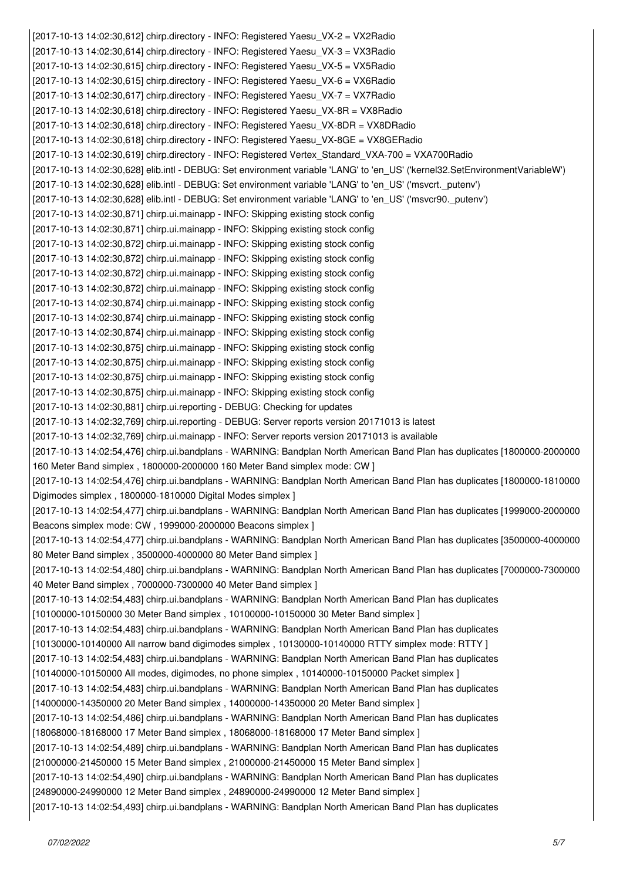*[2017-10-13 14:02:30,612] chirp.directory - INFO: Registered Yaesu\_VX-2 = VX2Radio [2017-10-13 14:02:30,614] chirp.directory - INFO: Registered Yaesu\_VX-3 = VX3Radio [2017-10-13 14:02:30,615] chirp.directory - INFO: Registered Yaesu\_VX-5 = VX5Radio [2017-10-13 14:02:30,615] chirp.directory - INFO: Registered Yaesu\_VX-6 = VX6Radio [2017-10-13 14:02:30,617] chirp.directory - INFO: Registered Yaesu\_VX-7 = VX7Radio [2017-10-13 14:02:30,618] chirp.directory - INFO: Registered Yaesu\_VX-8R = VX8Radio [2017-10-13 14:02:30,618] chirp.directory - INFO: Registered Yaesu\_VX-8DR = VX8DRadio [2017-10-13 14:02:30,618] chirp.directory - INFO: Registered Yaesu\_VX-8GE = VX8GERadio [2017-10-13 14:02:30,619] chirp.directory - INFO: Registered Vertex\_Standard\_VXA-700 = VXA700Radio [2017-10-13 14:02:30,628] elib.intl - DEBUG: Set environment variable 'LANG' to 'en\_US' ('kernel32.SetEnvironmentVariableW') [2017-10-13 14:02:30,628] elib.intl - DEBUG: Set environment variable 'LANG' to 'en\_US' ('msvcrt.\_putenv') [2017-10-13 14:02:30,628] elib.intl - DEBUG: Set environment variable 'LANG' to 'en\_US' ('msvcr90.\_putenv') [2017-10-13 14:02:30,871] chirp.ui.mainapp - INFO: Skipping existing stock config [2017-10-13 14:02:30,871] chirp.ui.mainapp - INFO: Skipping existing stock config [2017-10-13 14:02:30,872] chirp.ui.mainapp - INFO: Skipping existing stock config [2017-10-13 14:02:30,872] chirp.ui.mainapp - INFO: Skipping existing stock config [2017-10-13 14:02:30,872] chirp.ui.mainapp - INFO: Skipping existing stock config [2017-10-13 14:02:30,872] chirp.ui.mainapp - INFO: Skipping existing stock config [2017-10-13 14:02:30,874] chirp.ui.mainapp - INFO: Skipping existing stock config [2017-10-13 14:02:30,874] chirp.ui.mainapp - INFO: Skipping existing stock config [2017-10-13 14:02:30,874] chirp.ui.mainapp - INFO: Skipping existing stock config [2017-10-13 14:02:30,875] chirp.ui.mainapp - INFO: Skipping existing stock config [2017-10-13 14:02:30,875] chirp.ui.mainapp - INFO: Skipping existing stock config [2017-10-13 14:02:30,875] chirp.ui.mainapp - INFO: Skipping existing stock config [2017-10-13 14:02:30,875] chirp.ui.mainapp - INFO: Skipping existing stock config [2017-10-13 14:02:30,881] chirp.ui.reporting - DEBUG: Checking for updates [2017-10-13 14:02:32,769] chirp.ui.reporting - DEBUG: Server reports version 20171013 is latest [2017-10-13 14:02:32,769] chirp.ui.mainapp - INFO: Server reports version 20171013 is available [2017-10-13 14:02:54,476] chirp.ui.bandplans - WARNING: Bandplan North American Band Plan has duplicates [1800000-2000000 160 Meter Band simplex , 1800000-2000000 160 Meter Band simplex mode: CW ] [2017-10-13 14:02:54,476] chirp.ui.bandplans - WARNING: Bandplan North American Band Plan has duplicates [1800000-1810000 Digimodes simplex , 1800000-1810000 Digital Modes simplex ] [2017-10-13 14:02:54,477] chirp.ui.bandplans - WARNING: Bandplan North American Band Plan has duplicates [1999000-2000000 Beacons simplex mode: CW , 1999000-2000000 Beacons simplex ] [2017-10-13 14:02:54,477] chirp.ui.bandplans - WARNING: Bandplan North American Band Plan has duplicates [3500000-4000000 80 Meter Band simplex , 3500000-4000000 80 Meter Band simplex ] [2017-10-13 14:02:54,480] chirp.ui.bandplans - WARNING: Bandplan North American Band Plan has duplicates [7000000-7300000 40 Meter Band simplex , 7000000-7300000 40 Meter Band simplex ] [2017-10-13 14:02:54,483] chirp.ui.bandplans - WARNING: Bandplan North American Band Plan has duplicates [10100000-10150000 30 Meter Band simplex , 10100000-10150000 30 Meter Band simplex ] [2017-10-13 14:02:54,483] chirp.ui.bandplans - WARNING: Bandplan North American Band Plan has duplicates [10130000-10140000 All narrow band digimodes simplex , 10130000-10140000 RTTY simplex mode: RTTY ] [2017-10-13 14:02:54,483] chirp.ui.bandplans - WARNING: Bandplan North American Band Plan has duplicates [10140000-10150000 All modes, digimodes, no phone simplex , 10140000-10150000 Packet simplex ] [2017-10-13 14:02:54,483] chirp.ui.bandplans - WARNING: Bandplan North American Band Plan has duplicates [14000000-14350000 20 Meter Band simplex , 14000000-14350000 20 Meter Band simplex ] [2017-10-13 14:02:54,486] chirp.ui.bandplans - WARNING: Bandplan North American Band Plan has duplicates [18068000-18168000 17 Meter Band simplex , 18068000-18168000 17 Meter Band simplex ] [2017-10-13 14:02:54,489] chirp.ui.bandplans - WARNING: Bandplan North American Band Plan has duplicates [21000000-21450000 15 Meter Band simplex , 21000000-21450000 15 Meter Band simplex ] [2017-10-13 14:02:54,490] chirp.ui.bandplans - WARNING: Bandplan North American Band Plan has duplicates [24890000-24990000 12 Meter Band simplex , 24890000-24990000 12 Meter Band simplex ] [2017-10-13 14:02:54,493] chirp.ui.bandplans - WARNING: Bandplan North American Band Plan has duplicates*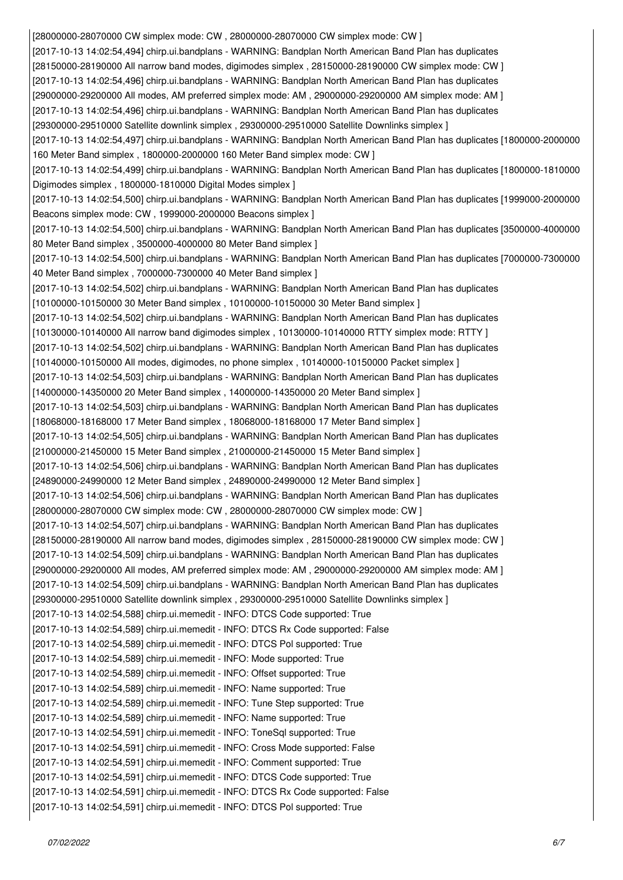*[28000000-28070000 CW simplex mode: CW , 28000000-28070000 CW simplex mode: CW ] [2017-10-13 14:02:54,494] chirp.ui.bandplans - WARNING: Bandplan North American Band Plan has duplicates [28150000-28190000 All narrow band modes, digimodes simplex , 28150000-28190000 CW simplex mode: CW ] [2017-10-13 14:02:54,496] chirp.ui.bandplans - WARNING: Bandplan North American Band Plan has duplicates [29000000-29200000 All modes, AM preferred simplex mode: AM , 29000000-29200000 AM simplex mode: AM ] [2017-10-13 14:02:54,496] chirp.ui.bandplans - WARNING: Bandplan North American Band Plan has duplicates [29300000-29510000 Satellite downlink simplex , 29300000-29510000 Satellite Downlinks simplex ] [2017-10-13 14:02:54,497] chirp.ui.bandplans - WARNING: Bandplan North American Band Plan has duplicates [1800000-2000000 160 Meter Band simplex , 1800000-2000000 160 Meter Band simplex mode: CW ] [2017-10-13 14:02:54,499] chirp.ui.bandplans - WARNING: Bandplan North American Band Plan has duplicates [1800000-1810000 Digimodes simplex , 1800000-1810000 Digital Modes simplex ] [2017-10-13 14:02:54,500] chirp.ui.bandplans - WARNING: Bandplan North American Band Plan has duplicates [1999000-2000000 Beacons simplex mode: CW , 1999000-2000000 Beacons simplex ] [2017-10-13 14:02:54,500] chirp.ui.bandplans - WARNING: Bandplan North American Band Plan has duplicates [3500000-4000000 80 Meter Band simplex , 3500000-4000000 80 Meter Band simplex ] [2017-10-13 14:02:54,500] chirp.ui.bandplans - WARNING: Bandplan North American Band Plan has duplicates [7000000-7300000 40 Meter Band simplex , 7000000-7300000 40 Meter Band simplex ] [2017-10-13 14:02:54,502] chirp.ui.bandplans - WARNING: Bandplan North American Band Plan has duplicates [10100000-10150000 30 Meter Band simplex , 10100000-10150000 30 Meter Band simplex ] [2017-10-13 14:02:54,502] chirp.ui.bandplans - WARNING: Bandplan North American Band Plan has duplicates [10130000-10140000 All narrow band digimodes simplex , 10130000-10140000 RTTY simplex mode: RTTY ] [2017-10-13 14:02:54,502] chirp.ui.bandplans - WARNING: Bandplan North American Band Plan has duplicates [10140000-10150000 All modes, digimodes, no phone simplex , 10140000-10150000 Packet simplex ] [2017-10-13 14:02:54,503] chirp.ui.bandplans - WARNING: Bandplan North American Band Plan has duplicates [14000000-14350000 20 Meter Band simplex , 14000000-14350000 20 Meter Band simplex ] [2017-10-13 14:02:54,503] chirp.ui.bandplans - WARNING: Bandplan North American Band Plan has duplicates [18068000-18168000 17 Meter Band simplex , 18068000-18168000 17 Meter Band simplex ] [2017-10-13 14:02:54,505] chirp.ui.bandplans - WARNING: Bandplan North American Band Plan has duplicates [21000000-21450000 15 Meter Band simplex , 21000000-21450000 15 Meter Band simplex ] [2017-10-13 14:02:54,506] chirp.ui.bandplans - WARNING: Bandplan North American Band Plan has duplicates [24890000-24990000 12 Meter Band simplex , 24890000-24990000 12 Meter Band simplex ] [2017-10-13 14:02:54,506] chirp.ui.bandplans - WARNING: Bandplan North American Band Plan has duplicates [28000000-28070000 CW simplex mode: CW , 28000000-28070000 CW simplex mode: CW ] [2017-10-13 14:02:54,507] chirp.ui.bandplans - WARNING: Bandplan North American Band Plan has duplicates [28150000-28190000 All narrow band modes, digimodes simplex , 28150000-28190000 CW simplex mode: CW ] [2017-10-13 14:02:54,509] chirp.ui.bandplans - WARNING: Bandplan North American Band Plan has duplicates [29000000-29200000 All modes, AM preferred simplex mode: AM , 29000000-29200000 AM simplex mode: AM ] [2017-10-13 14:02:54,509] chirp.ui.bandplans - WARNING: Bandplan North American Band Plan has duplicates [29300000-29510000 Satellite downlink simplex , 29300000-29510000 Satellite Downlinks simplex ] [2017-10-13 14:02:54,588] chirp.ui.memedit - INFO: DTCS Code supported: True [2017-10-13 14:02:54,589] chirp.ui.memedit - INFO: DTCS Rx Code supported: False [2017-10-13 14:02:54,589] chirp.ui.memedit - INFO: DTCS Pol supported: True [2017-10-13 14:02:54,589] chirp.ui.memedit - INFO: Mode supported: True [2017-10-13 14:02:54,589] chirp.ui.memedit - INFO: Offset supported: True [2017-10-13 14:02:54,589] chirp.ui.memedit - INFO: Name supported: True [2017-10-13 14:02:54,589] chirp.ui.memedit - INFO: Tune Step supported: True [2017-10-13 14:02:54,589] chirp.ui.memedit - INFO: Name supported: True [2017-10-13 14:02:54,591] chirp.ui.memedit - INFO: ToneSql supported: True [2017-10-13 14:02:54,591] chirp.ui.memedit - INFO: Cross Mode supported: False [2017-10-13 14:02:54,591] chirp.ui.memedit - INFO: Comment supported: True [2017-10-13 14:02:54,591] chirp.ui.memedit - INFO: DTCS Code supported: True [2017-10-13 14:02:54,591] chirp.ui.memedit - INFO: DTCS Rx Code supported: False [2017-10-13 14:02:54,591] chirp.ui.memedit - INFO: DTCS Pol supported: True*